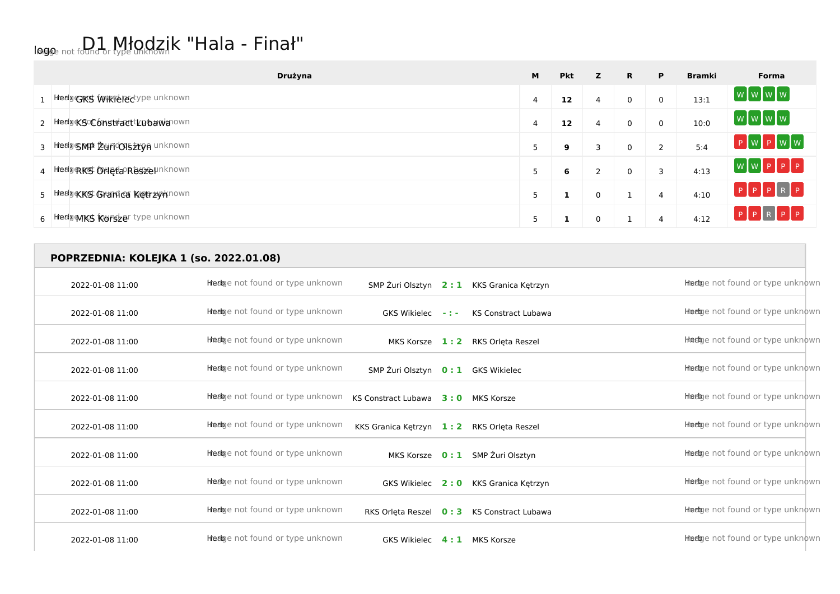## logo not found or type unknown K "Hala - Finał"

| Drużyna                           | M | <b>Pkt</b> | z | R.       | P              | <b>Bramki</b> | Forma               |
|-----------------------------------|---|------------|---|----------|----------------|---------------|---------------------|
| 1 Hedgers Wikieledype unknown     | 4 | 12         | 4 | 0        | 0              | 13:1          | wwwww               |
| 2 htedpoKSoComstracttLDbawanown   | 4 | 12         | 4 | 0        | 0              | 10:0          | [w]w[w]w]           |
| 3 HeelpsMP ZuricolszryA unknown   |   | 9          | 3 | 0        | $\overline{2}$ | 5:4           | $P$ W $P$ W W       |
| 4 Heelp RKS ON etaPRessel Inknown |   | 6          | っ | $\Omega$ | 3              | 4:13          | WWPPPP              |
| 5 Hedge KKS Granica Keerzy Known  |   |            | 0 |          | 4              | 4:10          | PPPRP               |
| 6 Hedge MKS Korszer type unknown  |   |            | 0 |          | 4              | 4:12          | $P$ $P$ $R$ $P$ $P$ |

## **POPRZEDNIA: KOLEJKA 1 (so. 2022.01.08)**

| 2022-01-08 11:00 | <b>Heelg</b> e not found or type unknown |                                    |            | SMP Zuri Olsztyn 2: 1 KKS Granica Kętrzyn | Heebye not found or type unknown  |
|------------------|------------------------------------------|------------------------------------|------------|-------------------------------------------|-----------------------------------|
| 2022-01-08 11:00 | Heebye not found or type unknown         | GKS Wikielec                       | $\sim 100$ | <b>KS Constract Lubawa</b>                | Heebye not found or type unknown  |
| 2022-01-08 11:00 | Heebye not found or type unknown         | MKS Korsze                         | 1:2        | RKS Orleta Reszel                         | Heebye not found or type unknown  |
| 2022-01-08 11:00 | Heebye not found or type unknown         | SMP Żuri Olsztyn 0: 1 GKS Wikielec |            |                                           | Heebye not found or type unknown  |
| 2022-01-08 11:00 | <b>Heelg</b> e not found or type unknown | <b>KS Constract Lubawa</b>         | 3:0        | MKS Korsze                                | Heebye not found or type unknown  |
| 2022-01-08 11:00 | Heebye not found or type unknown         | KKS Granica Kętrzyn                | 1:2        | RKS Orleta Reszel                         | Heebye not found or type unknown  |
| 2022-01-08 11:00 | Heebye not found or type unknown         | MKS Korsze                         | 0:1        | SMP Żuri Olsztyn                          | Heebye not found or type unknown  |
| 2022-01-08 11:00 | Heebye not found or type unknown         | GKS Wikielec                       | 2:0        | KKS Granica Kętrzyn                       | Heebye not found or type unknown  |
| 2022-01-08 11:00 | Heebye not found or type unknown         | RKS Orleta Reszel                  | 0:3        | <b>KS Constract Lubawa</b>                | Heeloge not found or type unknown |
| 2022-01-08 11:00 | Heebye not found or type unknown         | <b>GKS Wikielec</b>                | 4:1        | MKS Korsze                                | Heebye not found or type unknown  |